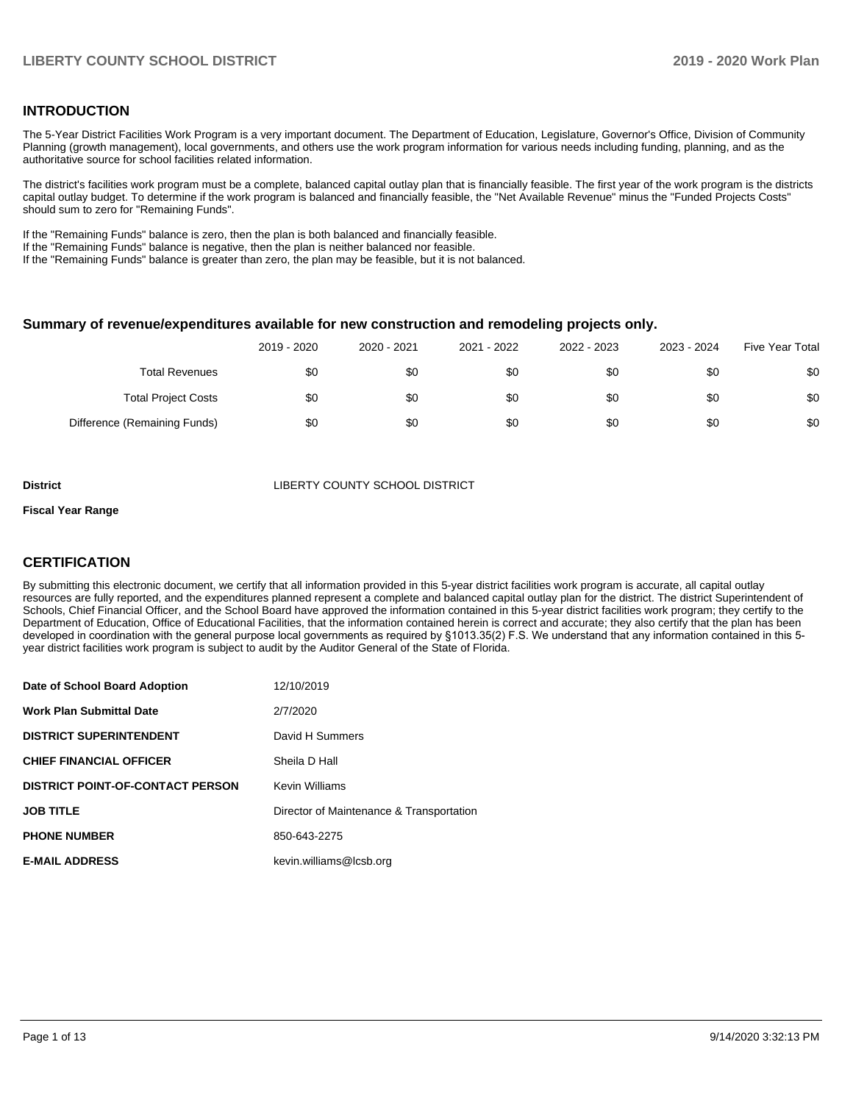### **INTRODUCTION**

The 5-Year District Facilities Work Program is a very important document. The Department of Education, Legislature, Governor's Office, Division of Community Planning (growth management), local governments, and others use the work program information for various needs including funding, planning, and as the authoritative source for school facilities related information.

The district's facilities work program must be a complete, balanced capital outlay plan that is financially feasible. The first year of the work program is the districts capital outlay budget. To determine if the work program is balanced and financially feasible, the "Net Available Revenue" minus the "Funded Projects Costs" should sum to zero for "Remaining Funds".

If the "Remaining Funds" balance is zero, then the plan is both balanced and financially feasible.

If the "Remaining Funds" balance is negative, then the plan is neither balanced nor feasible.

If the "Remaining Funds" balance is greater than zero, the plan may be feasible, but it is not balanced.

### **Summary of revenue/expenditures available for new construction and remodeling projects only.**

|                              | 2019 - 2020 | 2020 - 2021 | 2021 - 2022 | 2022 - 2023 | 2023 - 2024 | <b>Five Year Total</b> |
|------------------------------|-------------|-------------|-------------|-------------|-------------|------------------------|
| <b>Total Revenues</b>        | \$0         | \$0         | \$0         | \$0         | \$0         | \$0                    |
| <b>Total Project Costs</b>   | \$0         | \$0         | \$0         | \$0         | \$0         | \$0                    |
| Difference (Remaining Funds) | \$0         | \$0         | \$0         | \$0         | \$0         | \$0                    |

**District COUNTY SCHOOL DISTRICT** 

#### **Fiscal Year Range**

# **CERTIFICATION**

By submitting this electronic document, we certify that all information provided in this 5-year district facilities work program is accurate, all capital outlay resources are fully reported, and the expenditures planned represent a complete and balanced capital outlay plan for the district. The district Superintendent of Schools, Chief Financial Officer, and the School Board have approved the information contained in this 5-year district facilities work program; they certify to the Department of Education, Office of Educational Facilities, that the information contained herein is correct and accurate; they also certify that the plan has been developed in coordination with the general purpose local governments as required by §1013.35(2) F.S. We understand that any information contained in this 5 year district facilities work program is subject to audit by the Auditor General of the State of Florida.

| Date of School Board Adoption           | 12/10/2019                               |
|-----------------------------------------|------------------------------------------|
| <b>Work Plan Submittal Date</b>         | 2/7/2020                                 |
| <b>DISTRICT SUPERINTENDENT</b>          | David H Summers                          |
| <b>CHIEF FINANCIAL OFFICER</b>          | Sheila D Hall                            |
| <b>DISTRICT POINT-OF-CONTACT PERSON</b> | <b>Kevin Williams</b>                    |
| <b>JOB TITLE</b>                        | Director of Maintenance & Transportation |
| <b>PHONE NUMBER</b>                     | 850-643-2275                             |
| <b>E-MAIL ADDRESS</b>                   | kevin.williams@lcsb.org                  |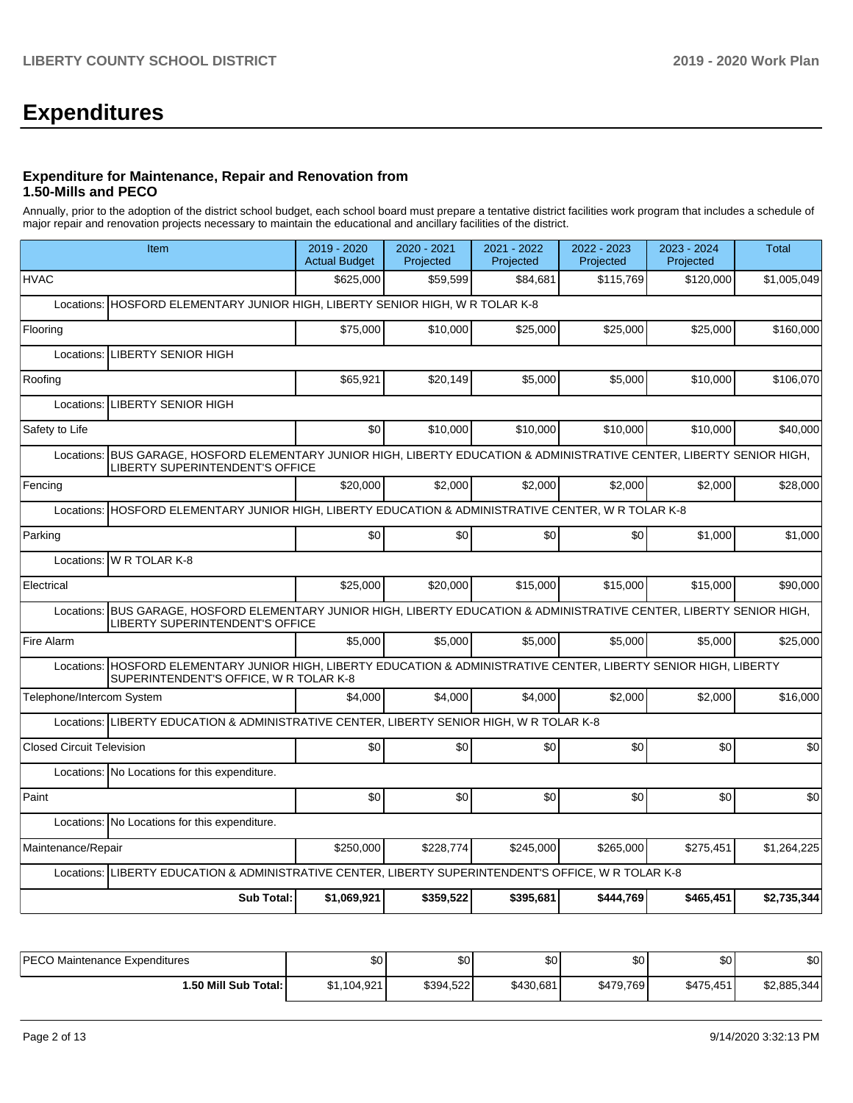# **Expenditures**

### **Expenditure for Maintenance, Repair and Renovation from 1.50-Mills and PECO**

Annually, prior to the adoption of the district school budget, each school board must prepare a tentative district facilities work program that includes a schedule of major repair and renovation projects necessary to maintain the educational and ancillary facilities of the district.

|                                  | Item                                                                                                                                                             | 2019 - 2020<br><b>Actual Budget</b> | 2020 - 2021<br>Projected | 2021 - 2022<br>Projected | 2022 - 2023<br>Projected | 2023 - 2024<br>Projected | <b>Total</b> |  |  |  |
|----------------------------------|------------------------------------------------------------------------------------------------------------------------------------------------------------------|-------------------------------------|--------------------------|--------------------------|--------------------------|--------------------------|--------------|--|--|--|
| <b>HVAC</b>                      |                                                                                                                                                                  | \$625.000                           | \$59,599                 | \$84.681                 | \$115,769                | \$120,000                | \$1,005,049  |  |  |  |
|                                  | Locations: HOSFORD ELEMENTARY JUNIOR HIGH, LIBERTY SENIOR HIGH, W R TOLAR K-8                                                                                    |                                     |                          |                          |                          |                          |              |  |  |  |
| Flooring                         |                                                                                                                                                                  | \$75,000                            | \$10,000                 | \$25,000                 | \$25,000                 | \$25,000                 | \$160,000    |  |  |  |
| Locations:                       | <b>LIBERTY SENIOR HIGH</b>                                                                                                                                       |                                     |                          |                          |                          |                          |              |  |  |  |
| Roofing                          |                                                                                                                                                                  | \$65.921                            | \$20,149                 | \$5,000                  | \$5,000                  | \$10,000                 | \$106,070    |  |  |  |
| Locations:                       | <b>LIBERTY SENIOR HIGH</b>                                                                                                                                       |                                     |                          |                          |                          |                          |              |  |  |  |
| Safety to Life                   |                                                                                                                                                                  | \$0                                 | \$10,000                 | \$10,000                 | \$10,000                 | \$10,000                 | \$40,000     |  |  |  |
| Locations:                       | BUS GARAGE, HOSFORD ELEMENTARY JUNIOR HIGH, LIBERTY EDUCATION & ADMINISTRATIVE CENTER, LIBERTY SENIOR HIGH,<br><b>LIBERTY SUPERINTENDENT'S OFFICE</b>            |                                     |                          |                          |                          |                          |              |  |  |  |
| Fencing                          |                                                                                                                                                                  | \$20,000                            | \$2,000                  | \$2,000                  | \$2,000                  | \$2,000                  | \$28,000     |  |  |  |
|                                  | Locations: HOSFORD ELEMENTARY JUNIOR HIGH, LIBERTY EDUCATION & ADMINISTRATIVE CENTER, W R TOLAR K-8                                                              |                                     |                          |                          |                          |                          |              |  |  |  |
| Parking                          |                                                                                                                                                                  | \$0                                 | \$0                      | \$0                      | \$0                      | \$1,000                  | \$1,000      |  |  |  |
|                                  | Locations: W R TOLAR K-8                                                                                                                                         |                                     |                          |                          |                          |                          |              |  |  |  |
| Electrical                       |                                                                                                                                                                  | \$25,000                            | \$20,000                 | \$15,000                 | \$15,000                 | \$15,000                 | \$90,000     |  |  |  |
|                                  | Locations: BUS GARAGE, HOSFORD ELEMENTARY JUNIOR HIGH, LIBERTY EDUCATION & ADMINISTRATIVE CENTER, LIBERTY SENIOR HIGH,<br><b>LIBERTY SUPERINTENDENT'S OFFICE</b> |                                     |                          |                          |                          |                          |              |  |  |  |
| Fire Alarm                       |                                                                                                                                                                  | \$5,000                             | \$5,000                  | \$5,000                  | \$5,000                  | \$5,000                  | \$25,000     |  |  |  |
|                                  | Locations: HOSFORD ELEMENTARY JUNIOR HIGH, LIBERTY EDUCATION & ADMINISTRATIVE CENTER, LIBERTY SENIOR HIGH, LIBERTY<br>SUPERINTENDENT'S OFFICE, W R TOLAR K-8     |                                     |                          |                          |                          |                          |              |  |  |  |
| Telephone/Intercom System        |                                                                                                                                                                  | \$4,000                             | \$4,000                  | \$4,000                  | \$2,000                  | \$2,000                  | \$16,000     |  |  |  |
|                                  | Locations: LIBERTY EDUCATION & ADMINISTRATIVE CENTER, LIBERTY SENIOR HIGH, W R TOLAR K-8                                                                         |                                     |                          |                          |                          |                          |              |  |  |  |
| <b>Closed Circuit Television</b> |                                                                                                                                                                  | \$0                                 | \$0                      | \$0                      | \$0                      | \$0                      | \$0          |  |  |  |
|                                  | Locations: No Locations for this expenditure.                                                                                                                    |                                     |                          |                          |                          |                          |              |  |  |  |
| Paint                            |                                                                                                                                                                  | \$0                                 | \$0                      | \$0                      | \$0                      | \$0                      | \$0          |  |  |  |
|                                  | Locations: No Locations for this expenditure.                                                                                                                    |                                     |                          |                          |                          |                          |              |  |  |  |
| Maintenance/Repair               |                                                                                                                                                                  | \$250,000                           | \$228,774                | \$245,000                | \$265,000                | \$275,451                | \$1,264,225  |  |  |  |
|                                  | Locations: LIBERTY EDUCATION & ADMINISTRATIVE CENTER, LIBERTY SUPERINTENDENT'S OFFICE, W R TOLAR K-8                                                             |                                     |                          |                          |                          |                          |              |  |  |  |
|                                  | Sub Total:                                                                                                                                                       | \$1,069,921                         | \$359,522                | \$395,681                | \$444,769                | \$465,451                | \$2,735,344  |  |  |  |

| <b>PECO Maintenance Expenditures</b> | \$0         | \$0       | \$0       | <b>SO</b> | \$0       | \$0         |
|--------------------------------------|-------------|-----------|-----------|-----------|-----------|-------------|
| <b>1.50 Mill Sub Total: I</b>        | \$1.104.921 | \$394,522 | \$430,681 | \$479,769 | \$475.451 | \$2,885,344 |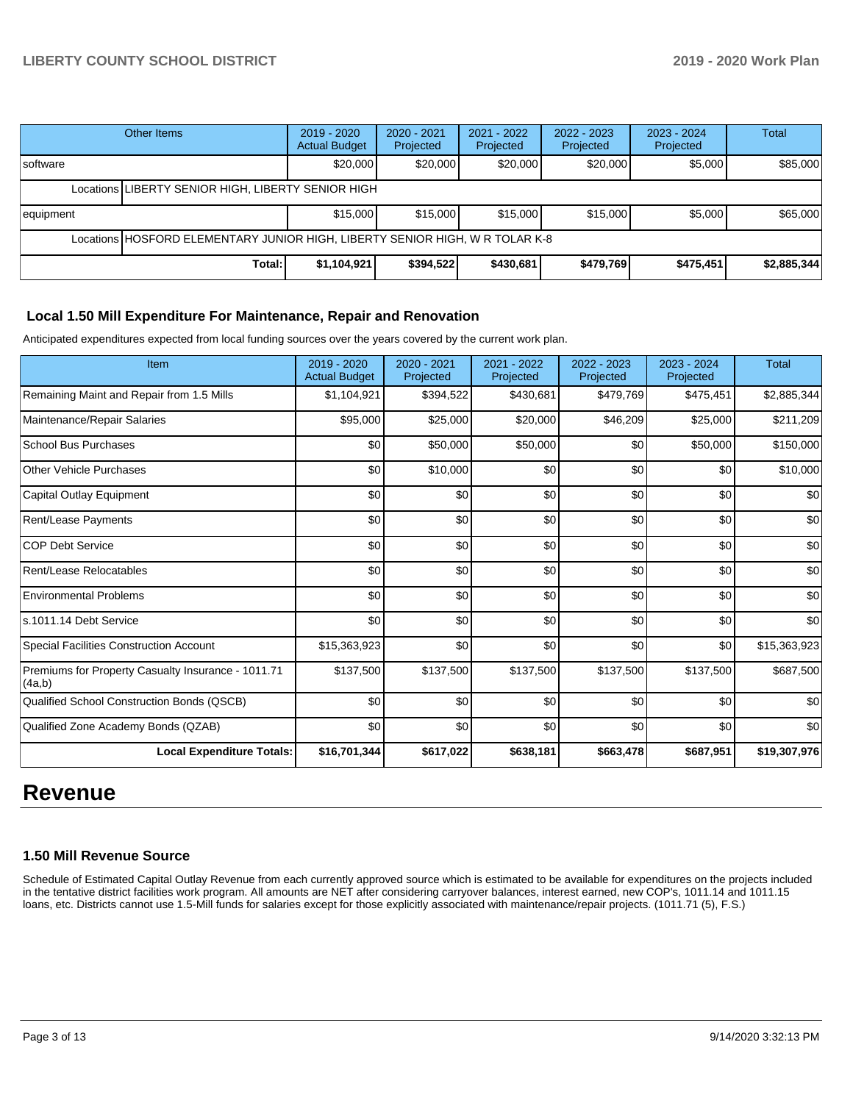|                                                    | Other Items | $2019 - 2020$<br><b>Actual Budget</b> | $2020 - 2021$<br>Projected | 2021 - 2022<br>Projected | 2022 - 2023<br>Projected | $2023 - 2024$<br>Projected | Total       |
|----------------------------------------------------|-------------|---------------------------------------|----------------------------|--------------------------|--------------------------|----------------------------|-------------|
| Isoftware                                          |             | \$20,000                              | \$20,000                   | \$20,000                 | \$20,000                 | \$5,000                    | \$85,000    |
| Locations LIBERTY SENIOR HIGH, LIBERTY SENIOR HIGH |             |                                       |                            |                          |                          |                            |             |
| equipment                                          |             | \$15,000                              | \$15,000                   | \$15,000                 | \$15,000                 | \$5,000                    | \$65,000    |
|                                                    |             |                                       |                            |                          |                          |                            |             |
|                                                    | Total:      | \$1,104,921                           | \$394,522                  | \$430,681                | \$479,769                | \$475,451                  | \$2,885,344 |

### **Local 1.50 Mill Expenditure For Maintenance, Repair and Renovation**

Anticipated expenditures expected from local funding sources over the years covered by the current work plan.

| Item                                                         | 2019 - 2020<br><b>Actual Budget</b> | 2020 - 2021<br>Projected | 2021 - 2022<br>Projected | 2022 - 2023<br>Projected | 2023 - 2024<br>Projected | <b>Total</b> |
|--------------------------------------------------------------|-------------------------------------|--------------------------|--------------------------|--------------------------|--------------------------|--------------|
| Remaining Maint and Repair from 1.5 Mills                    | \$1,104,921                         | \$394,522                | \$430,681                | \$479,769                | \$475,451                | \$2,885,344  |
| Maintenance/Repair Salaries                                  | \$95,000                            | \$25,000                 | \$20,000                 | \$46,209                 | \$25,000                 | \$211,209    |
| <b>School Bus Purchases</b>                                  | \$0                                 | \$50,000                 | \$50,000                 | \$0                      | \$50,000                 | \$150,000    |
| <b>Other Vehicle Purchases</b>                               | \$0                                 | \$10,000                 | \$0                      | \$0                      | \$0                      | \$10,000     |
| Capital Outlay Equipment                                     | \$0                                 | \$0                      | \$0                      | \$0                      | \$0                      | \$0          |
| Rent/Lease Payments                                          | \$0                                 | \$0                      | \$0                      | \$0                      | \$0                      | \$0          |
| <b>COP Debt Service</b>                                      | \$0                                 | \$0                      | \$0                      | \$0                      | \$0                      | \$0          |
| Rent/Lease Relocatables                                      | \$0                                 | \$0                      | \$0                      | \$0                      | \$0                      | \$0          |
| <b>Environmental Problems</b>                                | \$0                                 | \$0                      | \$0                      | \$0                      | \$0                      | \$0          |
| ls.1011.14 Debt Service                                      | \$0                                 | \$0                      | \$0                      | \$0                      | \$0                      | \$0          |
| <b>Special Facilities Construction Account</b>               | \$15,363,923                        | \$0                      | \$0                      | \$0                      | \$0                      | \$15,363,923 |
| Premiums for Property Casualty Insurance - 1011.71<br>(4a,b) | \$137,500                           | \$137,500                | \$137,500                | \$137,500                | \$137,500                | \$687,500    |
| Qualified School Construction Bonds (QSCB)                   | \$0                                 | \$0                      | \$0                      | \$0                      | \$0                      | \$0          |
| Qualified Zone Academy Bonds (QZAB)                          | \$0                                 | \$0                      | \$0                      | \$0                      | \$0                      | \$0          |
| <b>Local Expenditure Totals:</b>                             | \$16,701,344                        | \$617,022                | \$638,181                | \$663,478                | \$687,951                | \$19,307,976 |

# **Revenue**

### **1.50 Mill Revenue Source**

Schedule of Estimated Capital Outlay Revenue from each currently approved source which is estimated to be available for expenditures on the projects included in the tentative district facilities work program. All amounts are NET after considering carryover balances, interest earned, new COP's, 1011.14 and 1011.15 loans, etc. Districts cannot use 1.5-Mill funds for salaries except for those explicitly associated with maintenance/repair projects. (1011.71 (5), F.S.)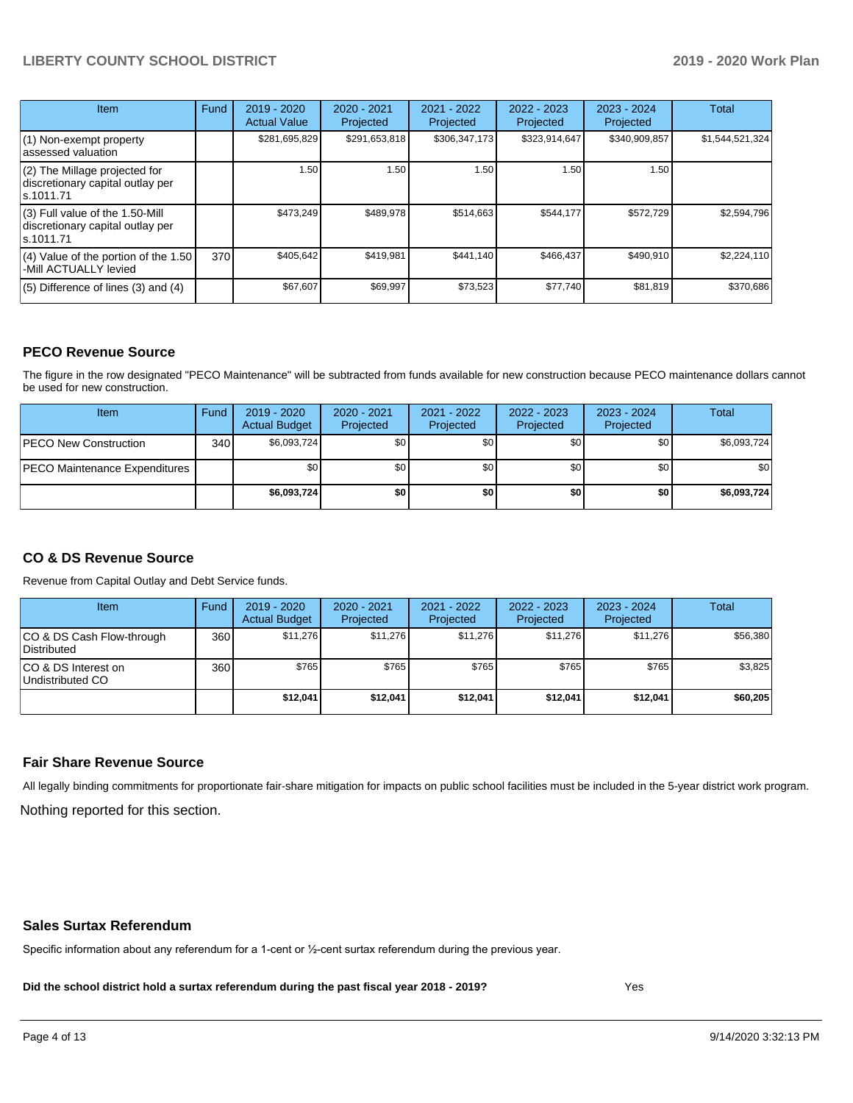| Item                                                                                | Fund | 2019 - 2020<br><b>Actual Value</b> | 2020 - 2021<br>Projected | 2021 - 2022<br>Projected | 2022 - 2023<br>Projected | $2023 - 2024$<br>Projected | Total           |
|-------------------------------------------------------------------------------------|------|------------------------------------|--------------------------|--------------------------|--------------------------|----------------------------|-----------------|
| $(1)$ Non-exempt property<br>lassessed valuation                                    |      | \$281,695,829                      | \$291,653,818            | \$306,347,173            | \$323,914,647            | \$340,909,857              | \$1,544,521,324 |
| $(2)$ The Millage projected for<br>discretionary capital outlay per<br>ls.1011.71   |      | 1.50                               | 1.50                     | 1.50                     | 1.50                     | 1.50                       |                 |
| $(3)$ Full value of the 1.50-Mill<br>discretionary capital outlay per<br>ls.1011.71 |      | \$473,249                          | \$489,978                | \$514,663                | \$544,177                | \$572,729                  | \$2,594,796     |
| $(4)$ Value of the portion of the 1.50<br>-Mill ACTUALLY levied                     | 370  | \$405,642                          | \$419,981                | \$441.140                | \$466,437                | \$490,910                  | \$2,224,110     |
| $(5)$ Difference of lines $(3)$ and $(4)$                                           |      | \$67,607                           | \$69,997                 | \$73,523                 | \$77,740                 | \$81,819                   | \$370,686       |

### **PECO Revenue Source**

The figure in the row designated "PECO Maintenance" will be subtracted from funds available for new construction because PECO maintenance dollars cannot be used for new construction.

| Item                                 | Fund             | 2019 - 2020<br><b>Actual Budget</b> | $2020 - 2021$<br>Projected | 2021 - 2022<br>Projected | $2022 - 2023$<br>Projected | 2023 - 2024<br>Projected | Total       |
|--------------------------------------|------------------|-------------------------------------|----------------------------|--------------------------|----------------------------|--------------------------|-------------|
| <b>IPECO New Construction</b>        | 340 <sup>1</sup> | \$6,093,724                         | \$0                        | \$0                      | \$0                        | \$0                      | \$6,093,724 |
| <b>PECO Maintenance Expenditures</b> |                  | \$0                                 | \$0                        | \$0                      | \$0 <sub>1</sub>           | \$0                      | \$0         |
|                                      |                  | \$6,093,724                         | \$0                        | \$0                      | \$0                        | \$0                      | \$6,093,724 |

## **CO & DS Revenue Source**

Revenue from Capital Outlay and Debt Service funds.

| Item                                      | Fund | $2019 - 2020$<br><b>Actual Budget</b> | 2020 - 2021<br>Projected | 2021 - 2022<br>Projected | $2022 - 2023$<br>Projected | 2023 - 2024<br>Projected | <b>Total</b> |
|-------------------------------------------|------|---------------------------------------|--------------------------|--------------------------|----------------------------|--------------------------|--------------|
| ICO & DS Cash Flow-through<br>Distributed | 360  | \$11.276                              | \$11.276                 | \$11.276                 | \$11.276                   | \$11.276                 | \$56,380     |
| ICO & DS Interest on<br>Undistributed CO  | 360  | \$765                                 | \$765                    | \$765                    | \$765                      | \$765                    | \$3,825      |
|                                           |      | \$12,041                              | \$12.041                 | \$12.041                 | \$12.041                   | \$12.041                 | \$60,205     |

### **Fair Share Revenue Source**

Nothing reported for this section. All legally binding commitments for proportionate fair-share mitigation for impacts on public school facilities must be included in the 5-year district work program.

#### **Sales Surtax Referendum**

Specific information about any referendum for a 1-cent or ½-cent surtax referendum during the previous year.

**Did the school district hold a surtax referendum during the past fiscal year 2018 - 2019?**

Yes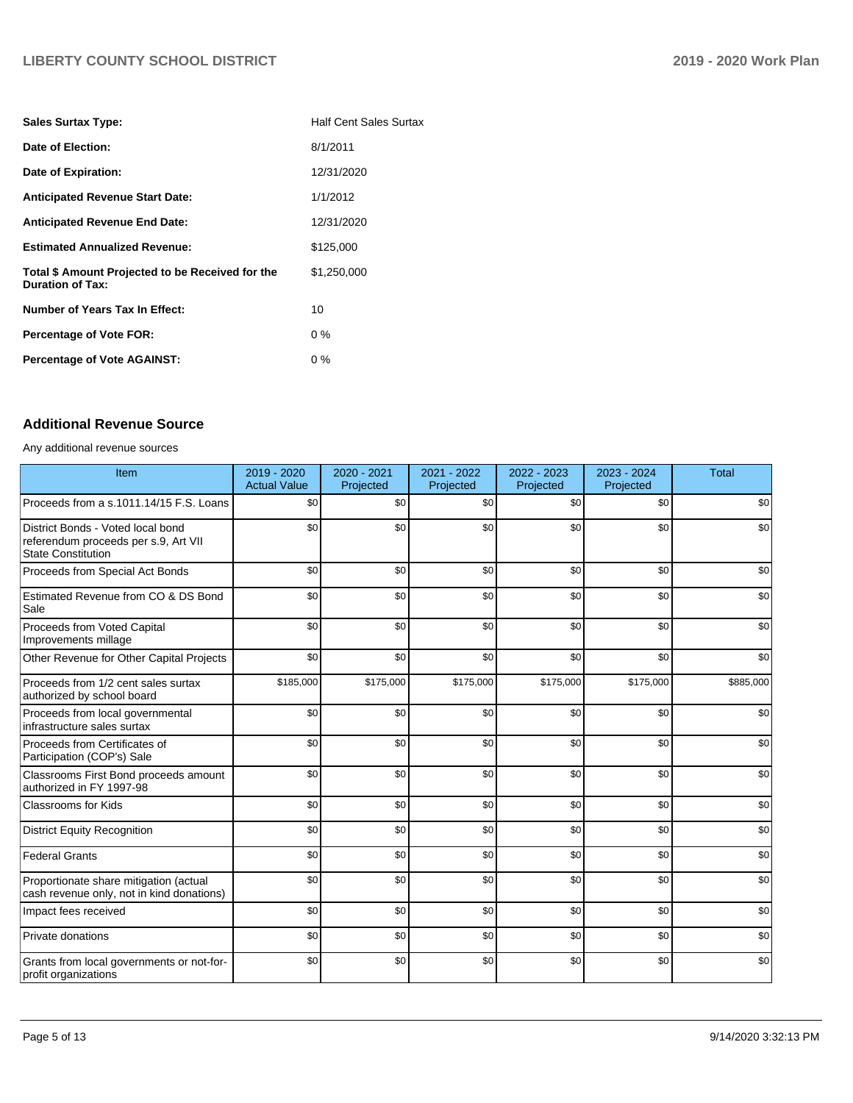| <b>Sales Surtax Type:</b>                                                   | <b>Half Cent Sales Surtax</b> |
|-----------------------------------------------------------------------------|-------------------------------|
| Date of Election:                                                           | 8/1/2011                      |
| Date of Expiration:                                                         | 12/31/2020                    |
| <b>Anticipated Revenue Start Date:</b>                                      | 1/1/2012                      |
| <b>Anticipated Revenue End Date:</b>                                        | 12/31/2020                    |
| <b>Estimated Annualized Revenue:</b>                                        | \$125.000                     |
| Total \$ Amount Projected to be Received for the<br><b>Duration of Tax:</b> | \$1,250,000                   |
| Number of Years Tax In Effect:                                              | 10                            |
| <b>Percentage of Vote FOR:</b>                                              | $0\%$                         |
| <b>Percentage of Vote AGAINST:</b>                                          | $0\%$                         |

# **Additional Revenue Source**

Any additional revenue sources

| Item                                                                                                   | 2019 - 2020<br><b>Actual Value</b> | 2020 - 2021<br>Projected | 2021 - 2022<br>Projected | 2022 - 2023<br>Projected | 2023 - 2024<br>Projected | <b>Total</b> |
|--------------------------------------------------------------------------------------------------------|------------------------------------|--------------------------|--------------------------|--------------------------|--------------------------|--------------|
| Proceeds from a s.1011.14/15 F.S. Loans                                                                | \$0                                | \$0                      | \$0                      | \$0                      | \$0                      | \$0          |
| District Bonds - Voted local bond<br>referendum proceeds per s.9, Art VII<br><b>State Constitution</b> | \$0                                | \$0                      | \$0                      | \$0                      | \$0                      | \$0          |
| Proceeds from Special Act Bonds                                                                        | \$0                                | \$0                      | \$0                      | \$0                      | \$0                      | \$0          |
| Estimated Revenue from CO & DS Bond<br>Sale                                                            | \$0                                | \$0                      | \$0                      | \$0                      | \$0                      | \$0          |
| Proceeds from Voted Capital<br>Improvements millage                                                    | \$0                                | \$0                      | \$0                      | \$0                      | \$0                      | \$0          |
| Other Revenue for Other Capital Projects                                                               | \$0                                | \$0                      | \$0                      | \$0                      | \$0                      | \$0          |
| Proceeds from 1/2 cent sales surtax<br>authorized by school board                                      | \$185,000                          | \$175,000                | \$175,000                | \$175,000                | \$175,000                | \$885,000    |
| Proceeds from local governmental<br>infrastructure sales surtax                                        | \$0                                | \$0                      | \$0                      | \$0                      | \$0                      | \$0          |
| Proceeds from Certificates of<br>Participation (COP's) Sale                                            | \$0                                | \$0                      | \$0                      | \$0                      | \$0                      | \$0          |
| Classrooms First Bond proceeds amount<br>authorized in FY 1997-98                                      | \$0                                | \$0                      | \$0                      | \$0                      | \$0                      | \$0          |
| <b>Classrooms for Kids</b>                                                                             | \$0                                | \$0                      | \$0                      | \$0                      | \$0                      | \$0          |
| <b>District Equity Recognition</b>                                                                     | \$0                                | \$0                      | \$0                      | \$0                      | \$0                      | \$0          |
| <b>Federal Grants</b>                                                                                  | \$0                                | \$0                      | \$0                      | \$0                      | \$0                      | \$0          |
| Proportionate share mitigation (actual<br>cash revenue only, not in kind donations)                    | \$0                                | \$0                      | \$0                      | \$0                      | \$0                      | \$0          |
| Impact fees received                                                                                   | \$0                                | \$0                      | \$0                      | \$0                      | \$0                      | \$0          |
| Private donations                                                                                      | \$0                                | \$0                      | \$0                      | \$0                      | \$0                      | \$0          |
| Grants from local governments or not-for-<br>profit organizations                                      | \$0                                | \$0                      | \$0                      | \$0                      | \$0                      | \$0          |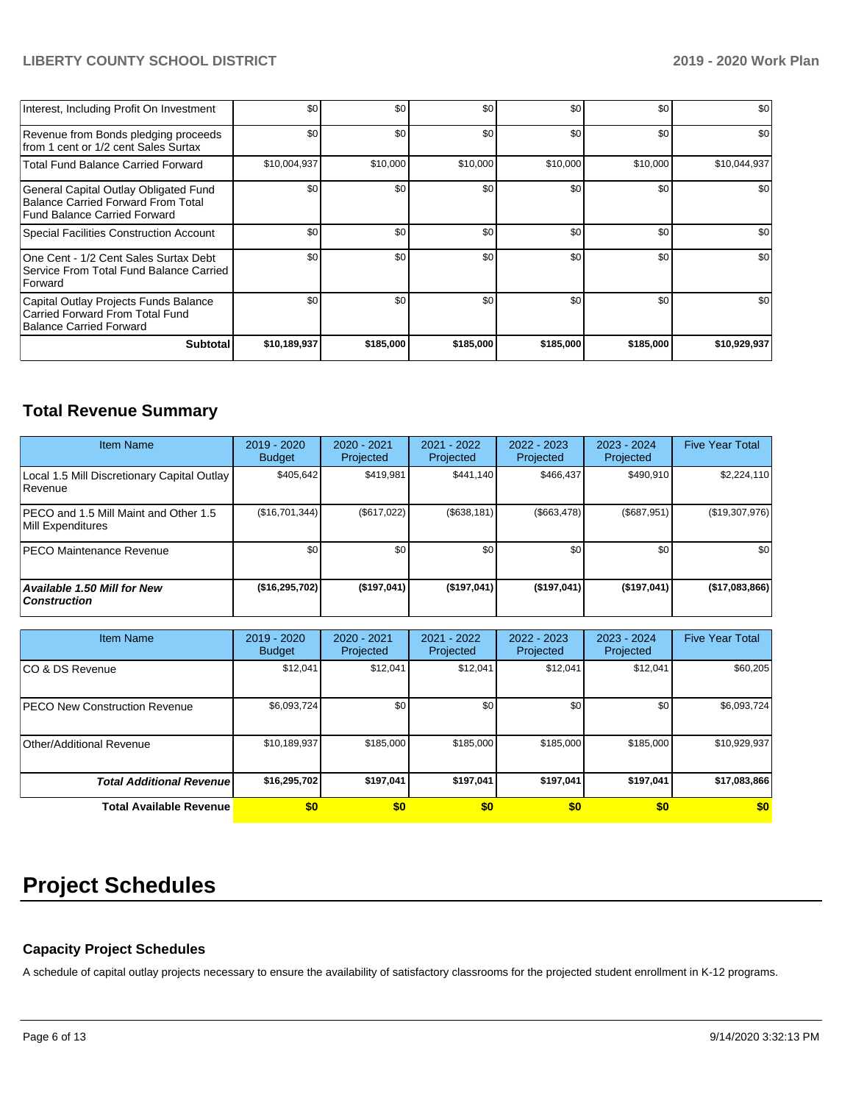| Interest, Including Profit On Investment                                                                                  | \$0          | \$0       | \$0       | \$0       | \$0       | \$0          |
|---------------------------------------------------------------------------------------------------------------------------|--------------|-----------|-----------|-----------|-----------|--------------|
| Revenue from Bonds pledging proceeds<br>from 1 cent or 1/2 cent Sales Surtax                                              | \$0          | \$0       | \$0       | \$0       | \$0       | \$0          |
| <b>Total Fund Balance Carried Forward</b>                                                                                 | \$10,004,937 | \$10,000  | \$10,000  | \$10,000  | \$10,000  | \$10,044,937 |
| General Capital Outlay Obligated Fund<br><b>Balance Carried Forward From Total</b><br><b>Fund Balance Carried Forward</b> | \$0          | \$0       | \$0       | \$0       | \$0       | \$0          |
| Special Facilities Construction Account                                                                                   | \$0          | \$0       | \$0       | \$0       | \$0       | \$0          |
| One Cent - 1/2 Cent Sales Surtax Debt<br>Service From Total Fund Balance Carried<br>Forward                               | \$0          | \$0       | \$0       | \$0       | \$0       | \$0          |
| Capital Outlay Projects Funds Balance<br>Carried Forward From Total Fund<br>Balance Carried Forward                       | \$0          | \$0       | \$0       | \$0       | \$0       | \$0          |
| <b>Subtotal</b>                                                                                                           | \$10,189,937 | \$185,000 | \$185,000 | \$185,000 | \$185,000 | \$10,929,937 |

# **Total Revenue Summary**

| <b>Item Name</b>                                              | $2019 - 2020$<br><b>Budget</b> | 2020 - 2021<br>Projected | 2021 - 2022<br>Projected | $2022 - 2023$<br>Projected | 2023 - 2024<br>Projected | <b>Five Year Total</b> |
|---------------------------------------------------------------|--------------------------------|--------------------------|--------------------------|----------------------------|--------------------------|------------------------|
| Local 1.5 Mill Discretionary Capital Outlay<br><b>Revenue</b> | \$405.642                      | \$419,981                | \$441,140                | \$466.437                  | \$490.910                | \$2,224,110            |
| PECO and 1.5 Mill Maint and Other 1.5<br>Mill Expenditures    | (S16, 701, 344)                | (\$617,022)              | (\$638, 181)             | (\$663,478)                | (\$687,951)              | (\$19,307,976)         |
| <b>PECO Maintenance Revenue</b>                               | \$0                            | \$0                      | \$0                      | \$0                        | \$0                      | \$0                    |
| Available 1.50 Mill for New<br><b>Construction</b>            | (\$16,295,702)                 | (\$197,041)              | (\$197,041)              | (\$197,041)                | (\$197,041)              | (\$17,083,866)         |

| <b>Item Name</b>                      | 2019 - 2020<br><b>Budget</b> | 2020 - 2021<br>Projected | 2021 - 2022<br>Projected | $2022 - 2023$<br>Projected | 2023 - 2024<br>Projected | <b>Five Year Total</b> |
|---------------------------------------|------------------------------|--------------------------|--------------------------|----------------------------|--------------------------|------------------------|
| ICO & DS Revenue                      | \$12,041                     | \$12,041                 | \$12,041                 | \$12,041                   | \$12,041                 | \$60,205               |
| <b>IPECO New Construction Revenue</b> | \$6,093,724                  | \$0 <sub>1</sub>         | \$0                      | \$0                        | \$0                      | \$6,093,724            |
| Other/Additional Revenue              | \$10,189,937                 | \$185,000                | \$185,000                | \$185,000                  | \$185,000                | \$10,929,937           |
| <b>Total Additional Revenuel</b>      | \$16,295,702                 | \$197.041                | \$197,041                | \$197,041                  | \$197.041                | \$17,083,866           |
| <b>Total Available Revenue</b>        | \$0                          | \$0                      | \$0                      | \$0                        | \$0                      | \$0                    |

# **Project Schedules**

# **Capacity Project Schedules**

A schedule of capital outlay projects necessary to ensure the availability of satisfactory classrooms for the projected student enrollment in K-12 programs.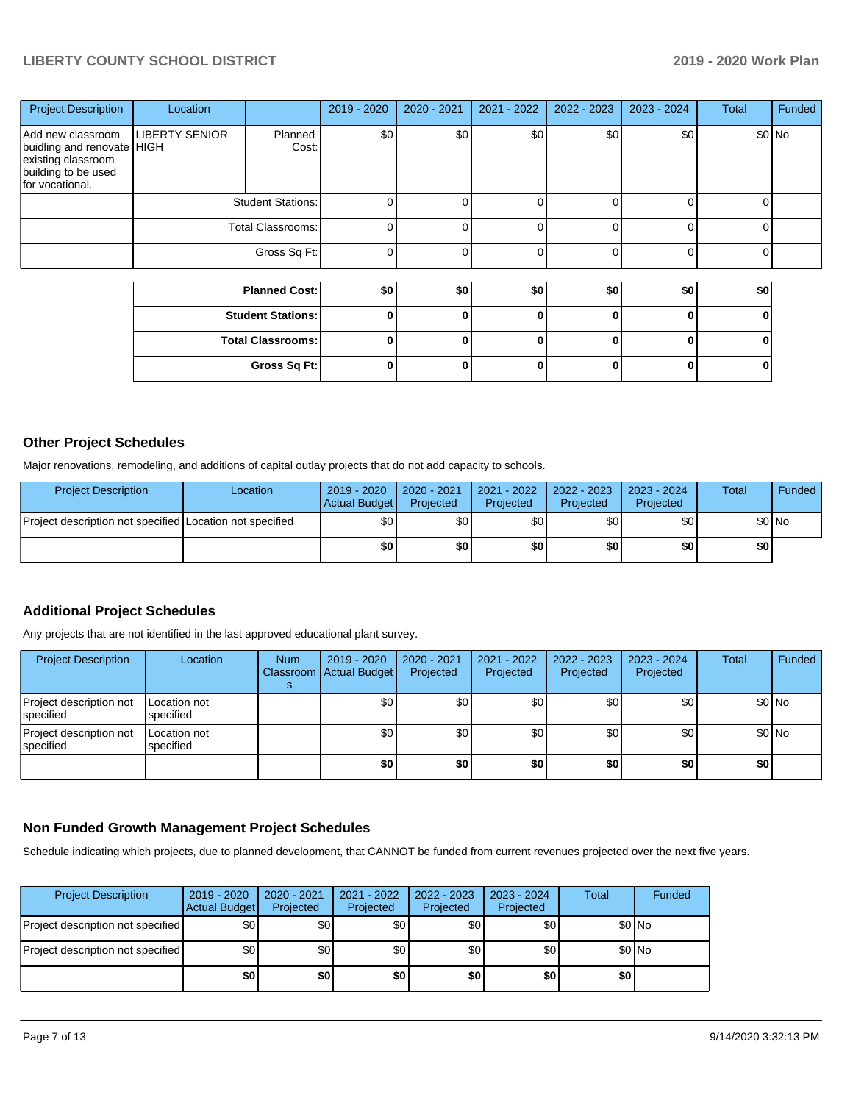| <b>Project Description</b>                                                                                      | Location                 |                          | 2019 - 2020 | 2020 - 2021 | 2021 - 2022 | 2022 - 2023 | 2023 - 2024 | <b>Total</b> | Funded |
|-----------------------------------------------------------------------------------------------------------------|--------------------------|--------------------------|-------------|-------------|-------------|-------------|-------------|--------------|--------|
| Add new classroom<br>buidling and renovate HIGH<br>existing classroom<br>building to be used<br>for vocational. | <b>LIBERTY SENIOR</b>    | Planned<br>Cost:         | \$0         | \$0         | \$0         | \$0         | \$0         |              | \$0 No |
|                                                                                                                 | <b>Student Stations:</b> |                          |             |             |             |             |             |              |        |
|                                                                                                                 | Total Classrooms:        |                          |             |             |             |             |             |              |        |
|                                                                                                                 |                          | Gross Sq Ft:             |             |             | 0           |             |             |              |        |
|                                                                                                                 |                          |                          |             |             |             |             |             |              |        |
|                                                                                                                 | <b>Planned Cost:</b>     |                          | \$0         | \$0         | \$0         | \$0         | \$0         | \$0          |        |
|                                                                                                                 |                          | <b>Student Stations:</b> |             |             | 0           | ŋ           | 0           |              |        |
|                                                                                                                 |                          | <b>Total Classrooms:</b> |             |             | ŋ           | ŋ           | O           |              |        |

**Gross Sq Ft: 0 0 0 0 0 0**

## **Other Project Schedules**

Major renovations, remodeling, and additions of capital outlay projects that do not add capacity to schools.

| <b>Project Description</b>                               | Location | 2019 - 2020<br>Actual Budget | 2020 - 2021<br>Projected | $2021 - 2022$<br>Projected | 2022 - 2023<br>Projected | $2023 - 2024$<br>Projected | Total  | <b>Funded</b> |
|----------------------------------------------------------|----------|------------------------------|--------------------------|----------------------------|--------------------------|----------------------------|--------|---------------|
| Project description not specified Location not specified |          | \$0 I                        | \$0 I                    | \$0 I                      | \$٥Ι                     | <b>\$01</b>                | \$0 No |               |
|                                                          |          | \$0                          | \$O I                    | \$0                        | \$O I                    | \$0                        | \$0 I  |               |

# **Additional Project Schedules**

Any projects that are not identified in the last approved educational plant survey.

| <b>Project Description</b>            | Location                  | <b>Num</b> | 2019 - 2020<br>Classroom Actual Budget | 2020 - 2021<br>Projected | 2021 - 2022<br>Projected | 2022 - 2023<br>Projected | 2023 - 2024<br>Projected | <b>Total</b> | Funded  |
|---------------------------------------|---------------------------|------------|----------------------------------------|--------------------------|--------------------------|--------------------------|--------------------------|--------------|---------|
| Project description not<br>lspecified | Location not<br>specified |            | \$0                                    | ا 30                     | \$0                      | \$٥١                     | \$0                      |              | $$0$ No |
| Project description not<br>specified  | Location not<br>specified |            | \$0                                    | \$0                      | \$0                      | \$0                      | \$0                      |              | $$0$ No |
|                                       |                           |            | \$0                                    | \$0                      | \$0                      | \$0                      | \$0                      | \$0          |         |

### **Non Funded Growth Management Project Schedules**

Schedule indicating which projects, due to planned development, that CANNOT be funded from current revenues projected over the next five years.

| <b>Project Description</b>        | $2019 - 2020$<br><b>Actual Budget</b> | 2020 - 2021<br>Projected | 2021 - 2022<br>Projected | $2022 - 2023$<br>Projected | 2023 - 2024<br>Projected | Total | Funded |
|-----------------------------------|---------------------------------------|--------------------------|--------------------------|----------------------------|--------------------------|-------|--------|
| Project description not specified | \$0                                   | \$0                      | \$0                      | \$0                        | \$0                      |       | \$0 No |
| Project description not specified | \$0                                   | \$0                      | \$0                      | \$0                        | \$0                      |       | \$0 No |
|                                   | \$0                                   | \$0                      | \$0                      | \$0                        | \$0                      | \$0   |        |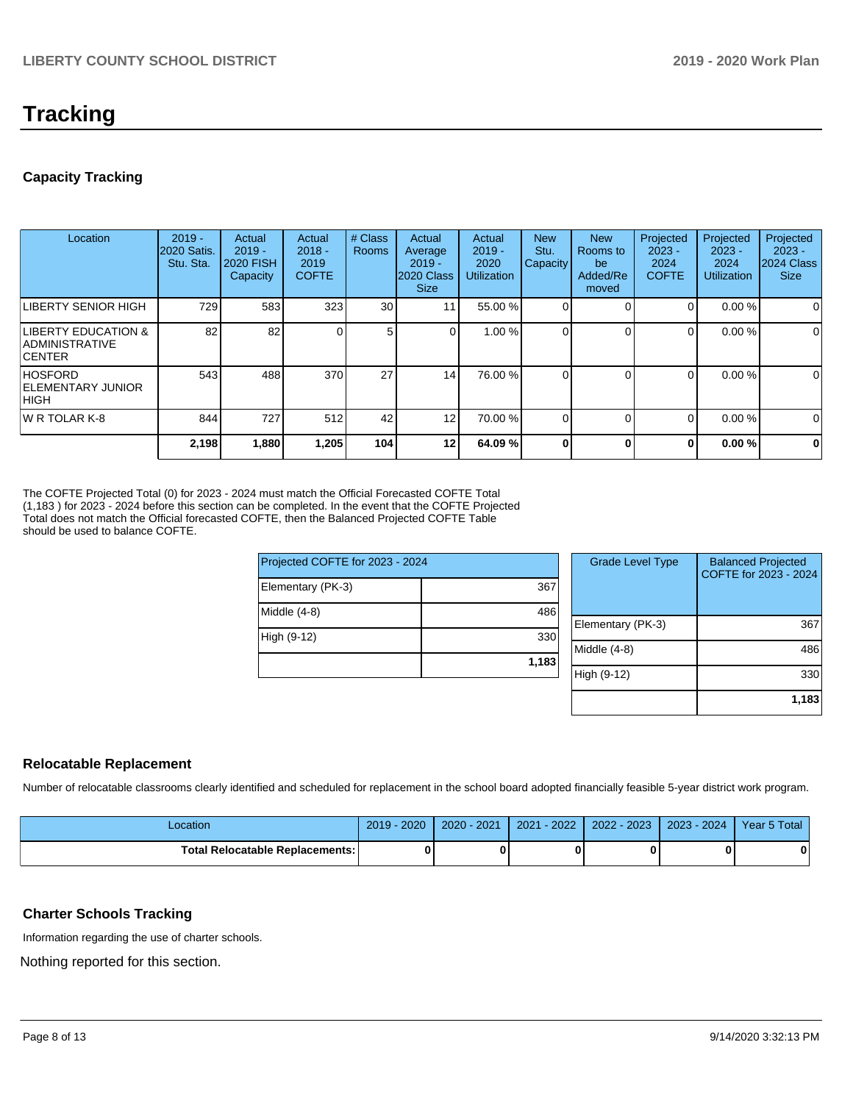# **Tracking**

# **Capacity Tracking**

| Location                                                            | $2019 -$<br><b>2020 Satis.</b><br>Stu. Sta. | Actual<br>$2019 -$<br><b>2020 FISH</b><br>Capacity | Actual<br>$2018 -$<br>2019<br><b>COFTE</b> | # Class<br><b>Rooms</b> | Actual<br>Average<br>$2019 -$<br>2020 Class<br><b>Size</b> | Actual<br>$2019 -$<br>2020<br><b>Utilization</b> | <b>New</b><br>Stu.<br>Capacity | <b>New</b><br>Rooms to<br>be<br>Added/Re<br>moved | Projected<br>$2023 -$<br>2024<br><b>COFTE</b> | Projected<br>$2023 -$<br>2024<br><b>Utilization</b> | Projected<br>$2023 -$<br>2024 Class<br><b>Size</b> |
|---------------------------------------------------------------------|---------------------------------------------|----------------------------------------------------|--------------------------------------------|-------------------------|------------------------------------------------------------|--------------------------------------------------|--------------------------------|---------------------------------------------------|-----------------------------------------------|-----------------------------------------------------|----------------------------------------------------|
| LIBERTY SENIOR HIGH                                                 | 729                                         | 583                                                | 323                                        | 30                      | 11 <sub>1</sub>                                            | 55.00 %                                          |                                |                                                   | 0                                             | 0.00%                                               | 0                                                  |
| <b>LIBERTY EDUCATION &amp;</b><br>IADMINISTRATIVE<br><b>ICENTER</b> | 82                                          | 82                                                 |                                            | 5                       |                                                            | 1.00 %                                           |                                | $\Omega$                                          | $\Omega$                                      | 0.00%                                               | 0                                                  |
| <b>HOSFORD</b><br><b>ELEMENTARY JUNIOR</b><br> HIGH                 | 543                                         | 488                                                | 370                                        | 27                      | 14                                                         | 76.00 %                                          |                                | $\Omega$                                          | $\Omega$                                      | 0.00%                                               | 0                                                  |
| <b>IW R TOLAR K-8</b>                                               | 844                                         | 727                                                | 512                                        | 42                      | 12                                                         | 70.00 %                                          |                                | $\Omega$                                          | 0                                             | 0.00%                                               | 0                                                  |
|                                                                     | 2,198                                       | 1,880                                              | 1,205                                      | 104                     | 12 <sub>l</sub>                                            | 64.09%                                           |                                | 0                                                 | $\mathbf{0}$                                  | 0.00%                                               | $\mathbf 0$                                        |

The COFTE Projected Total (0) for 2023 - 2024 must match the Official Forecasted COFTE Total (1,183 ) for 2023 - 2024 before this section can be completed. In the event that the COFTE Projected Total does not match the Official forecasted COFTE, then the Balanced Projected COFTE Table should be used to balance COFTE.

| Projected COFTE for 2023 - 2024 |       |  |  |  |  |  |
|---------------------------------|-------|--|--|--|--|--|
| Elementary (PK-3)               | 367   |  |  |  |  |  |
| Middle (4-8)                    | 486   |  |  |  |  |  |
| High (9-12)                     | 330   |  |  |  |  |  |
|                                 | 1,183 |  |  |  |  |  |

| <b>Grade Level Type</b> | <b>Balanced Projected</b><br>COFTE for 2023 - 2024 |
|-------------------------|----------------------------------------------------|
| Elementary (PK-3)       | 367                                                |
| Middle $(4-8)$          | 486                                                |
| High (9-12)             | 330                                                |
|                         | 1,183                                              |

# **Relocatable Replacement**

Number of relocatable classrooms clearly identified and scheduled for replacement in the school board adopted financially feasible 5-year district work program.

| ∠ocation                                 | 2020<br>2019 | 202 <sup>2</sup><br>$2020 -$ | $-2022$<br>2021 | 2022 - 2023 | $2023 - 2024$ | Year 5 Total |
|------------------------------------------|--------------|------------------------------|-----------------|-------------|---------------|--------------|
| <b>Total Relocatable Replacements: I</b> |              |                              |                 | 0           |               | n            |

# **Charter Schools Tracking**

Information regarding the use of charter schools.

Nothing reported for this section.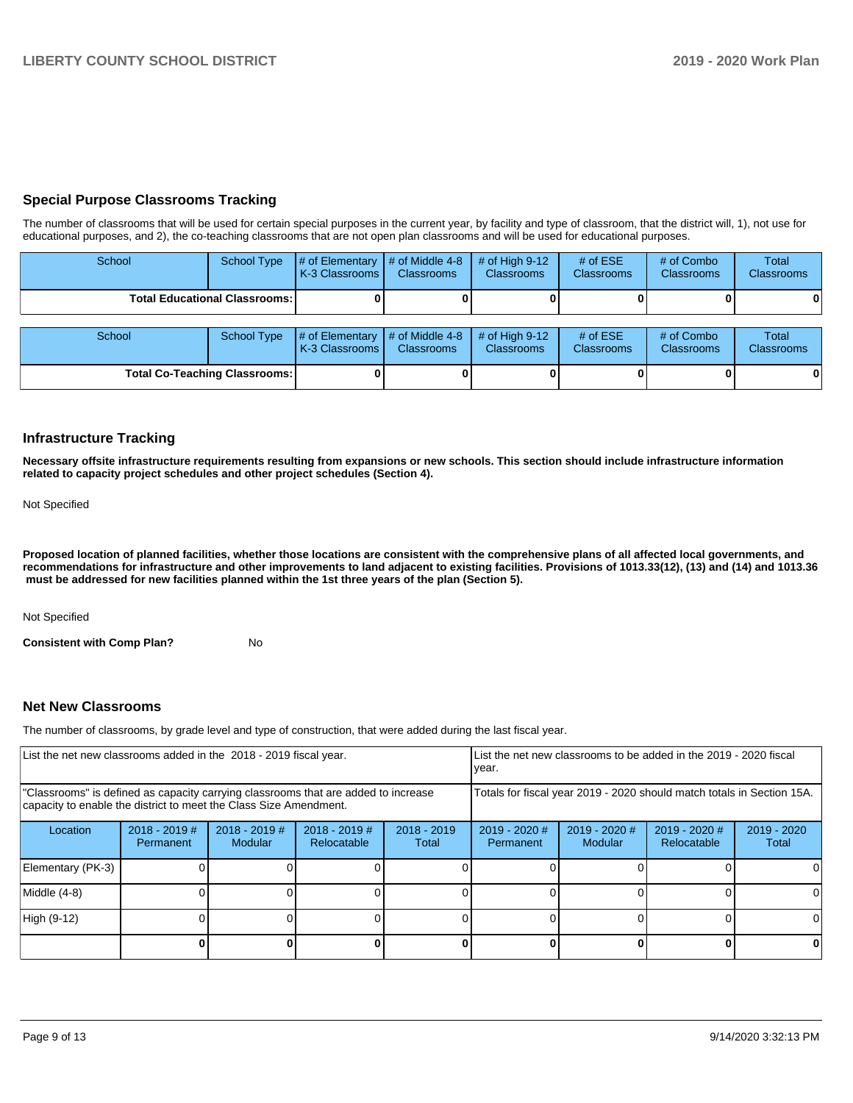# **Special Purpose Classrooms Tracking**

The number of classrooms that will be used for certain special purposes in the current year, by facility and type of classroom, that the district will, 1), not use for educational purposes, and 2), the co-teaching classrooms that are not open plan classrooms and will be used for educational purposes.

| School                               | <b>School Type</b> | # of Elementary<br>K-3 Classrooms | # of Middle 4-8<br><b>Classrooms</b>             | $#$ of High 9-12<br><b>Classrooms</b> | # of $ESE$<br>Classrooms | # of Combo<br><b>Classrooms</b> | Total<br><b>Classrooms</b> |
|--------------------------------------|--------------------|-----------------------------------|--------------------------------------------------|---------------------------------------|--------------------------|---------------------------------|----------------------------|
| <b>Total Educational Classrooms:</b> |                    |                                   |                                                  |                                       |                          | 01                              |                            |
| School                               | <b>School Type</b> | # of Elementary<br>K-3 Classrooms | $\parallel$ # of Middle 4-8<br><b>Classrooms</b> | $#$ of High 9-12<br><b>Classrooms</b> | # of $ESE$<br>Classrooms | # of Combo<br><b>Classrooms</b> | Total<br><b>Classrooms</b> |
| <b>Total Co-Teaching Classrooms:</b> |                    |                                   |                                                  |                                       | 01                       | $\mathbf{0}$                    |                            |

### **Infrastructure Tracking**

**Necessary offsite infrastructure requirements resulting from expansions or new schools. This section should include infrastructure information related to capacity project schedules and other project schedules (Section 4).** 

Not Specified

**Proposed location of planned facilities, whether those locations are consistent with the comprehensive plans of all affected local governments, and recommendations for infrastructure and other improvements to land adjacent to existing facilities. Provisions of 1013.33(12), (13) and (14) and 1013.36 must be addressed for new facilities planned within the 1st three years of the plan (Section 5).** 

Not Specified

**Consistent with Comp Plan?** No

### **Net New Classrooms**

The number of classrooms, by grade level and type of construction, that were added during the last fiscal year.

| List the net new classrooms added in the 2018 - 2019 fiscal year.                                                                                       |                                                                        |                                   |                                |                        | Llist the net new classrooms to be added in the 2019 - 2020 fiscal<br>year. |                          |                              |                        |  |
|---------------------------------------------------------------------------------------------------------------------------------------------------------|------------------------------------------------------------------------|-----------------------------------|--------------------------------|------------------------|-----------------------------------------------------------------------------|--------------------------|------------------------------|------------------------|--|
| "Classrooms" is defined as capacity carrying classrooms that are added to increase<br>capacity to enable the district to meet the Class Size Amendment. | Totals for fiscal year 2019 - 2020 should match totals in Section 15A. |                                   |                                |                        |                                                                             |                          |                              |                        |  |
| Location                                                                                                                                                | $2018 - 2019$ #<br>Permanent                                           | $2018 - 2019$ #<br><b>Modular</b> | $2018 - 2019$ #<br>Relocatable | $2018 - 2019$<br>Total | $2019 - 2020$ #<br>Permanent                                                | 2019 - 2020 #<br>Modular | 2019 - 2020 #<br>Relocatable | $2019 - 2020$<br>Total |  |
| Elementary (PK-3)                                                                                                                                       |                                                                        |                                   |                                |                        |                                                                             |                          |                              |                        |  |
| Middle (4-8)                                                                                                                                            |                                                                        |                                   |                                |                        |                                                                             |                          |                              | ΩI                     |  |
| High (9-12)                                                                                                                                             |                                                                        |                                   |                                |                        |                                                                             |                          |                              | 0                      |  |
|                                                                                                                                                         |                                                                        |                                   |                                |                        |                                                                             |                          |                              | 0                      |  |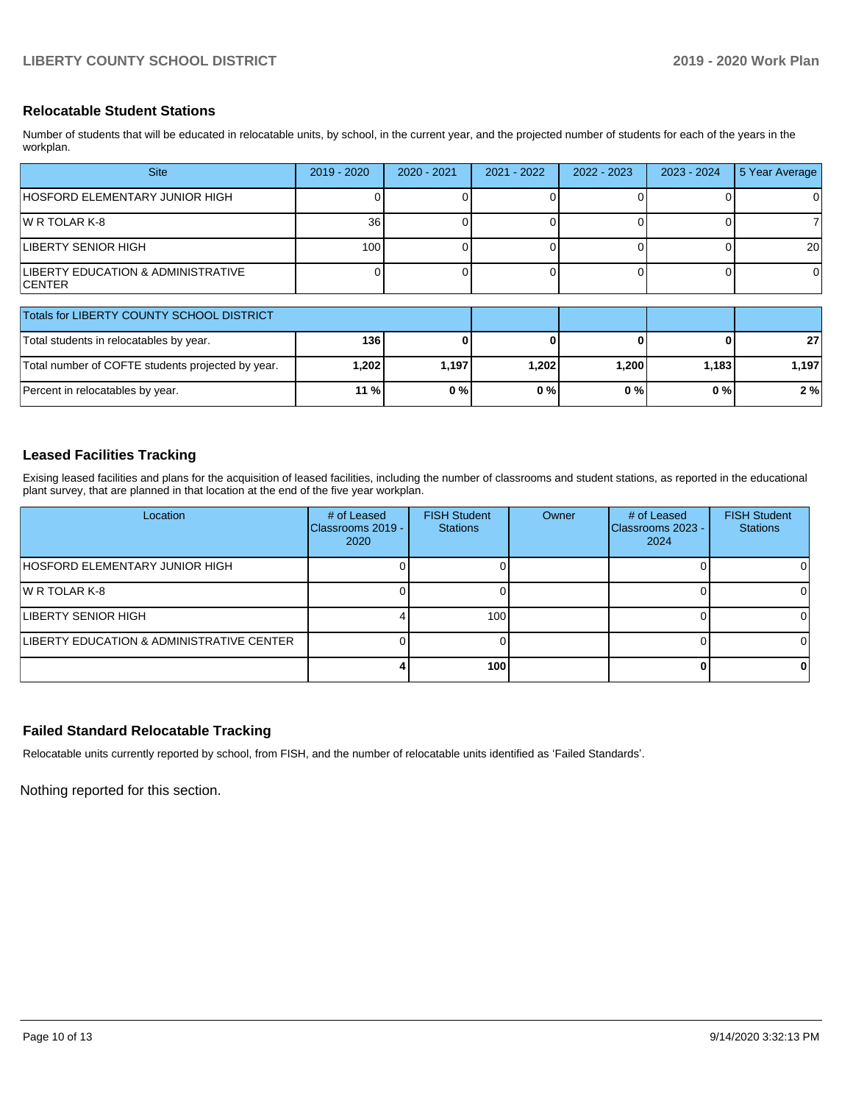## **Relocatable Student Stations**

Number of students that will be educated in relocatable units, by school, in the current year, and the projected number of students for each of the years in the workplan.

| <b>Site</b>                                         | 2019 - 2020 | 2020 - 2021 | 2021 - 2022 | 2022 - 2023 | $2023 - 2024$ | 5 Year Average |
|-----------------------------------------------------|-------------|-------------|-------------|-------------|---------------|----------------|
| HOSFORD ELEMENTARY JUNIOR HIGH                      |             |             |             |             |               | ΟI             |
| IW R TOLAR K-8                                      | 36          |             |             |             |               |                |
| <b>LIBERTY SENIOR HIGH</b>                          | 100         |             |             |             |               | 20             |
| LIBERTY EDUCATION & ADMINISTRATIVE<br><b>CENTER</b> |             |             |             |             |               | ΟI             |

| Totals for LIBERTY COUNTY SCHOOL DISTRICT         |       |       |       |       |       |       |
|---------------------------------------------------|-------|-------|-------|-------|-------|-------|
| Total students in relocatables by year.           | 136 l |       |       |       |       | 27    |
| Total number of COFTE students projected by year. | 1,202 | 1.197 | 1.202 | 1.200 | 1.183 | 1.197 |
| Percent in relocatables by year.                  | 11 %  | 0%    | $0\%$ | 0%    | 0 % I | 2%    |

# **Leased Facilities Tracking**

Exising leased facilities and plans for the acquisition of leased facilities, including the number of classrooms and student stations, as reported in the educational plant survey, that are planned in that location at the end of the five year workplan.

| Location                                  | # of Leased<br>Classrooms 2019 -<br>2020 | <b>FISH Student</b><br><b>Stations</b> | Owner | # of Leased<br>Classrooms 2023 -<br>2024 | <b>FISH Student</b><br><b>Stations</b> |
|-------------------------------------------|------------------------------------------|----------------------------------------|-------|------------------------------------------|----------------------------------------|
| HOSFORD ELEMENTARY JUNIOR HIGH            |                                          |                                        |       |                                          |                                        |
| IW R TOLAR K-8                            |                                          |                                        |       |                                          |                                        |
| LIBERTY SENIOR HIGH                       |                                          | 100                                    |       |                                          |                                        |
| LIBERTY EDUCATION & ADMINISTRATIVE CENTER |                                          |                                        |       |                                          |                                        |
|                                           |                                          | 100                                    |       |                                          | o                                      |

# **Failed Standard Relocatable Tracking**

Relocatable units currently reported by school, from FISH, and the number of relocatable units identified as 'Failed Standards'.

Nothing reported for this section.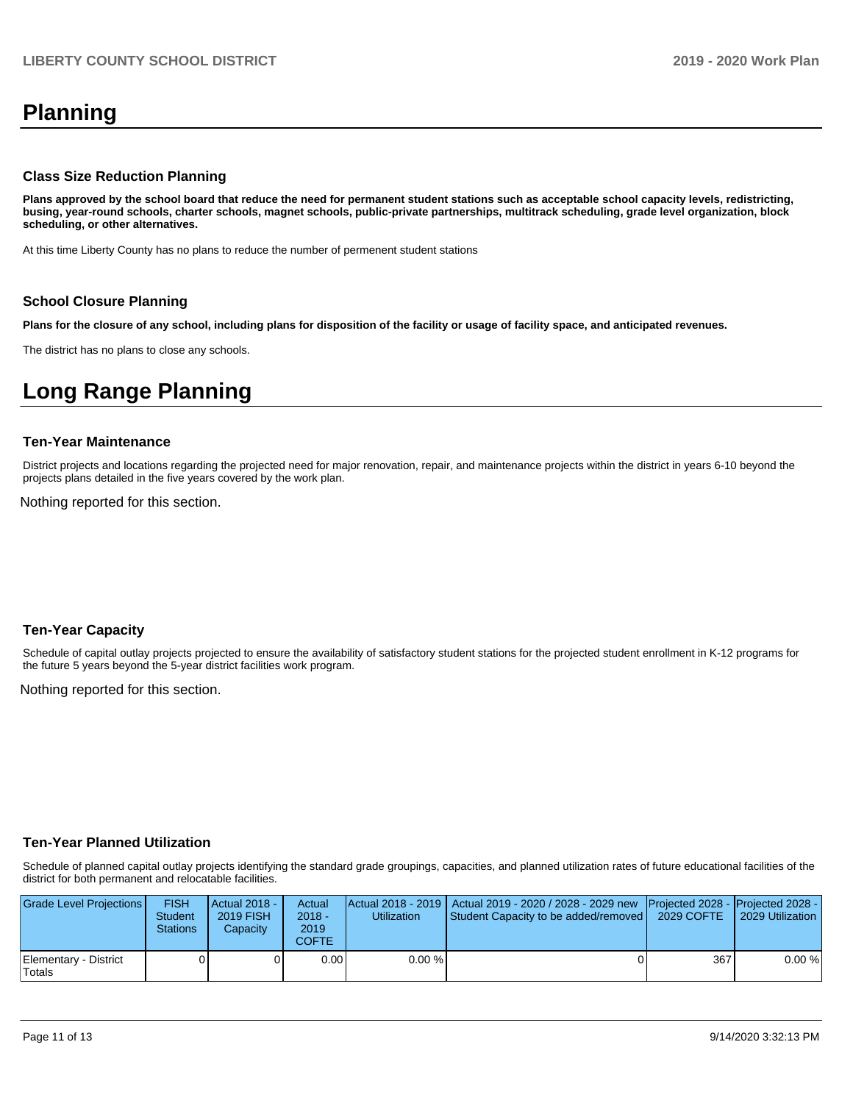# **Planning**

### **Class Size Reduction Planning**

**Plans approved by the school board that reduce the need for permanent student stations such as acceptable school capacity levels, redistricting, busing, year-round schools, charter schools, magnet schools, public-private partnerships, multitrack scheduling, grade level organization, block scheduling, or other alternatives.**

At this time Liberty County has no plans to reduce the number of permenent student stations

### **School Closure Planning**

**Plans for the closure of any school, including plans for disposition of the facility or usage of facility space, and anticipated revenues.** 

The district has no plans to close any schools.

# **Long Range Planning**

#### **Ten-Year Maintenance**

District projects and locations regarding the projected need for major renovation, repair, and maintenance projects within the district in years 6-10 beyond the projects plans detailed in the five years covered by the work plan.

Nothing reported for this section.

### **Ten-Year Capacity**

Schedule of capital outlay projects projected to ensure the availability of satisfactory student stations for the projected student enrollment in K-12 programs for the future 5 years beyond the 5-year district facilities work program.

Nothing reported for this section.

### **Ten-Year Planned Utilization**

Schedule of planned capital outlay projects identifying the standard grade groupings, capacities, and planned utilization rates of future educational facilities of the district for both permanent and relocatable facilities.

| Grade Level Projections         | <b>FISH</b><br><b>Student</b><br><b>Stations</b> | Actual 2018 -<br>2019 FISH<br>Capacity | Actual<br>$2018 -$<br>2019<br><b>COFTE</b> | <b>Utilization</b> | Actual 2018 - 2019   Actual 2019 - 2020 / 2028 - 2029 new Projected 2028 - Projected 2028 -<br>Student Capacity to be added/removed | 2029 COFTE | 2029 Utilization |
|---------------------------------|--------------------------------------------------|----------------------------------------|--------------------------------------------|--------------------|-------------------------------------------------------------------------------------------------------------------------------------|------------|------------------|
| Elementary - District<br>Totals |                                                  |                                        | 0.00                                       | $0.00\%$           |                                                                                                                                     | 367        | 0.00%            |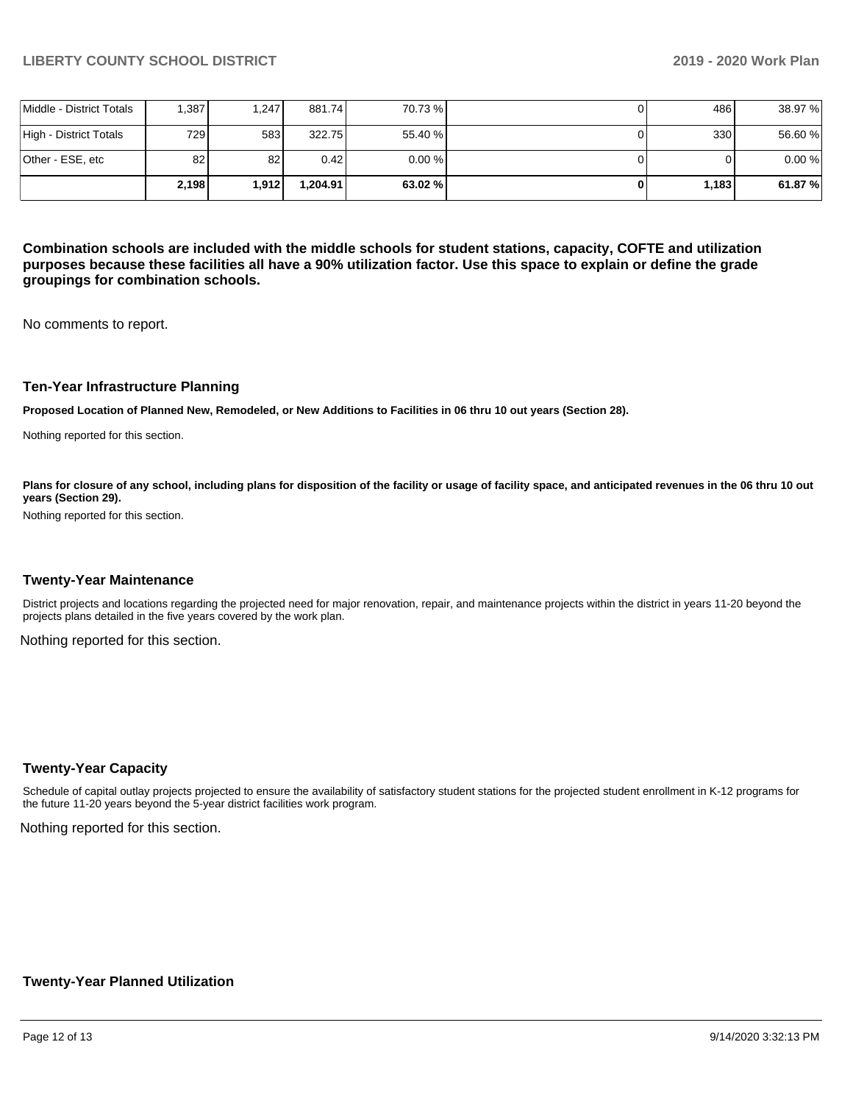|                          | 2.198 | 1.912 | 1.204.91 | 63.02 %   | 1,183 | 61.87%  |
|--------------------------|-------|-------|----------|-----------|-------|---------|
| Other - ESE, etc         | 82    | 82    | 0.42     | $0.00 \%$ |       | 0.00%   |
| High - District Totals   | 729 I | 583   | 322.75   | 55.40 %   | 330   | 56.60 % |
| Middle - District Totals | .387  | 1.247 | 881.74   | 70.73 %   | 486 I | 38.97 % |

**Combination schools are included with the middle schools for student stations, capacity, COFTE and utilization purposes because these facilities all have a 90% utilization factor. Use this space to explain or define the grade groupings for combination schools.** 

No comments to report.

### **Ten-Year Infrastructure Planning**

**Proposed Location of Planned New, Remodeled, or New Additions to Facilities in 06 thru 10 out years (Section 28).**

Nothing reported for this section.

Plans for closure of any school, including plans for disposition of the facility or usage of facility space, and anticipated revenues in the 06 thru 10 out **years (Section 29).**

Nothing reported for this section.

#### **Twenty-Year Maintenance**

District projects and locations regarding the projected need for major renovation, repair, and maintenance projects within the district in years 11-20 beyond the projects plans detailed in the five years covered by the work plan.

Nothing reported for this section.

### **Twenty-Year Capacity**

Schedule of capital outlay projects projected to ensure the availability of satisfactory student stations for the projected student enrollment in K-12 programs for the future 11-20 years beyond the 5-year district facilities work program.

Nothing reported for this section.

### **Twenty-Year Planned Utilization**